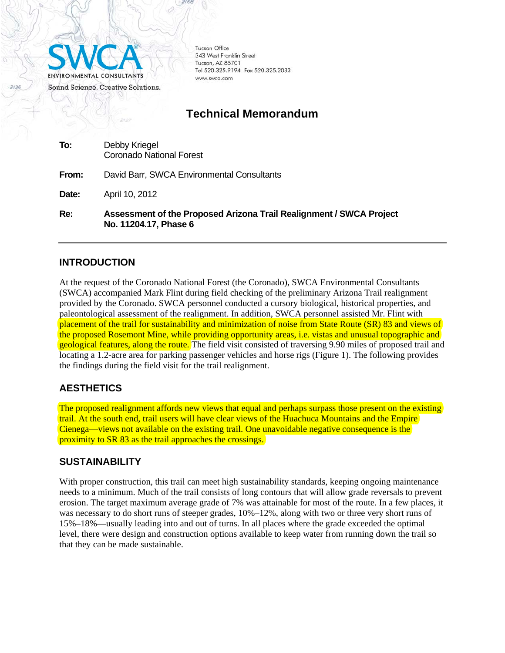

Tucson Office 343 West Franklin Street Tucson, AZ 85701 Tel 520.325.9194 Fax 520.325.2033 www.swca.com

# **Technical Memorandum**

| Re:   | Assessment of the Proposed Arizona Trail Realignment / SWCA Project<br>No. 11204.17, Phase 6 |
|-------|----------------------------------------------------------------------------------------------|
| Date: | April 10, 2012                                                                               |
| From: | David Barr, SWCA Environmental Consultants                                                   |
| To:   | Debby Kriegel<br><b>Coronado National Forest</b>                                             |

#### **INTRODUCTION**

At the request of the Coronado National Forest (the Coronado), SWCA Environmental Consultants (SWCA) accompanied Mark Flint during field checking of the preliminary Arizona Trail realignment provided by the Coronado. SWCA personnel conducted a cursory biological, historical properties, and paleontological assessment of the realignment. In addition, SWCA personnel assisted Mr. Flint with placement of the trail for sustainability and minimization of noise from State Route (SR) 83 and views of the proposed Rosemont Mine, while providing opportunity areas, i.e. vistas and unusual topographic and geological features, along the route. The field visit consisted of traversing 9.90 miles of proposed trail and locating a 1.2-acre area for parking passenger vehicles and horse rigs (Figure 1). The following provides the findings during the field visit for the trail realignment.

### **AESTHETICS**

The proposed realignment affords new views that equal and perhaps surpass those present on the existing trail. At the south end, trail users will have clear views of the Huachuca Mountains and the Empire Cienega—views not available on the existing trail. One unavoidable negative consequence is the proximity to SR 83 as the trail approaches the crossings.

#### **SUSTAINABILITY**

With proper construction, this trail can meet high sustainability standards, keeping ongoing maintenance needs to a minimum. Much of the trail consists of long contours that will allow grade reversals to prevent erosion. The target maximum average grade of 7% was attainable for most of the route. In a few places, it was necessary to do short runs of steeper grades, 10%–12%, along with two or three very short runs of 15%–18%—usually leading into and out of turns. In all places where the grade exceeded the optimal level, there were design and construction options available to keep water from running down the trail so that they can be made sustainable.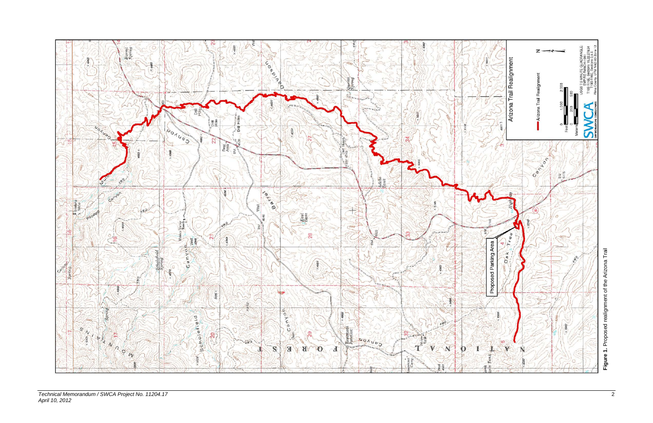

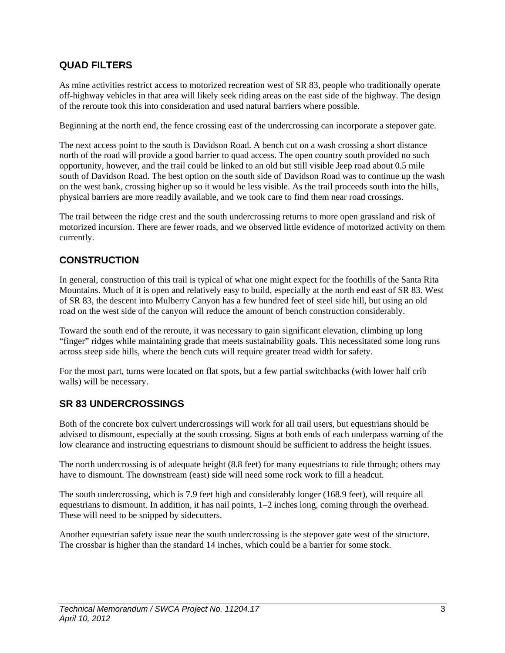## **QUAD FILTERS**

As mine activities restrict access to motorized recreation west of SR 83, people who traditionally operate off-highway vehicles in that area will likely seek riding areas on the east side of the highway. The design of the reroute took this into consideration and used natural barriers where possible.

Beginning at the north end, the fence crossing east of the undercrossing can incorporate a stepover gate.

The next access point to the south is Davidson Road. A bench cut on a wash crossing a short distance north of the road will provide a good barrier to quad access. The open country south provided no such opportunity, however, and the trail could be linked to an old but still visible Jeep road about 0.5 mile south of Davidson Road. The best option on the south side of Davidson Road was to continue up the wash on the west bank, crossing higher up so it would be less visible. As the trail proceeds south into the hills, physical barriers are more readily available, and we took care to find them near road crossings.

The trail between the ridge crest and the south undercrossing returns to more open grassland and risk of motorized incursion. There are fewer roads, and we observed little evidence of motorized activity on them currently.

## **CONSTRUCTION**

In general, construction of this trail is typical of what one might expect for the foothills of the Santa Rita Mountains. Much of it is open and relatively easy to build, especially at the north end east of SR 83. West of SR 83, the descent into Mulberry Canyon has a few hundred feet of steel side hill, but using an old road on the west side of the canyon will reduce the amount of bench construction considerably.

Toward the south end of the reroute, it was necessary to gain significant elevation, climbing up long "finger" ridges while maintaining grade that meets sustainability goals. This necessitated some long runs across steep side hills, where the bench cuts will require greater tread width for safety.

For the most part, turns were located on flat spots, but a few partial switchbacks (with lower half crib walls) will be necessary.

### **SR 83 UNDERCROSSINGS**

Both of the concrete box culvert undercrossings will work for all trail users, but equestrians should be advised to dismount, especially at the south crossing. Signs at both ends of each underpass warning of the low clearance and instructing equestrians to dismount should be sufficient to address the height issues.

The north undercrossing is of adequate height (8.8 feet) for many equestrians to ride through; others may have to dismount. The downstream (east) side will need some rock work to fill a headcut.

The south undercrossing, which is 7.9 feet high and considerably longer (168.9 feet), will require all equestrians to dismount. In addition, it has nail points, 1–2 inches long, coming through the overhead. These will need to be snipped by sidecutters.

Another equestrian safety issue near the south undercrossing is the stepover gate west of the structure. The crossbar is higher than the standard 14 inches, which could be a barrier for some stock.